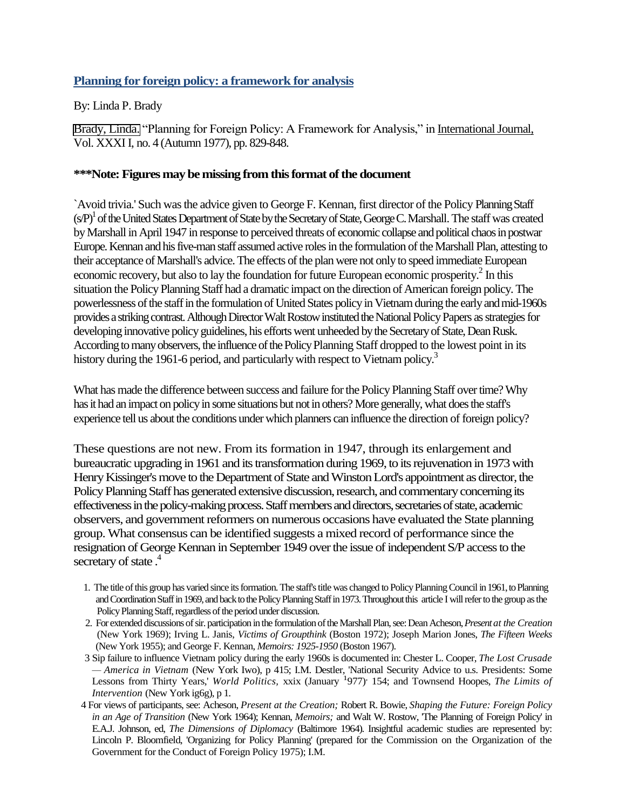## **Planning for foreign policy: a framework for analysis**

### By: Linda P. Brady

[Brady, Linda.](http://libres.uncg.edu/ir/clist.aspx?id=1943) "Planning for Foreign Policy: A Framework for Analysis," in International Journal, Vol. XXXI I, no. 4 (Autumn 1977), pp. 829-848.

### **\*\*\*Note: Figures may be missing from this format of the document**

`Avoid trivia.' Such was the advice given to George F. Kennan, first director of the Policy Planning Staff (s/P)<sup>1</sup> of the United States Department of State by the Secretary of State, George C. Marshall. The staff was created by Marshall in April 1947 in response to perceived threats of economic collapse and political chaos in postwar Europe. Kennan and his five-man staff assumed active roles in the formulation of the Marshall Plan, attesting to their acceptance of Marshall's advice. The effects of the plan were not only to speed immediate European economic recovery, but also to lay the foundation for future European economic prosperity.<sup>2</sup> In this situation the Policy Planning Staff had a dramatic impact on the direction of American foreign policy. The powerlessness of the staff in the formulation of United States policy in Vietnam during the early and mid-1960s provides a striking contrast. Although Director Walt Rostow instituted the National Policy Papers as strategies for developing innovative policy guidelines, his efforts went unheeded by the Secretary of State, Dean Rusk. According to many observers, the influence of the Policy Planning Staff dropped to the lowest point in its history during the 1961-6 period, and particularly with respect to Vietnam policy.<sup>3</sup>

What has made the difference between success and failure for the Policy Planning Staff over time? Why has it had an impact on policy in some situations but not in others? More generally, what does the staff's experience tell us about the conditions under which planners can influence the direction of foreign policy?

These questions are not new. From its formation in 1947, through its enlargement and bureaucratic upgrading in 1961 and its transformation during 1969, to its rejuvenation in 1973 with Henry Kissinger's move to the Department of State and Winston Lord's appointment as director, the Policy Planning Staff has generated extensive discussion, research, and commentary concerning its effectiveness in the policy-making process. Staff members and directors, secretaries of state, academic observers, and government reformers on numerous occasions have evaluated the State planning group. What consensus can be identified suggests a mixed record of performance since the resignation of George Kennan in September 1949 over the issue of independent S/P access to the secretary of state  $.4$ 

- 1. The title of this group has varied since its formation. The staff's title was changed to Policy Planning Council in 1961, to Planning and Coordination Staff in 1969, and back to the Policy Planning Staff in 1973. Throughout this article I will refer to the group as the Policy Planning Staff, regardless of the period under discussion.
- 2. For extended discussions of sir. participation in the formulation of the Marshall Plan, see: Dean Acheson, *Present at the Creation* (New York 1969); Irving L. Janis, *Victims of Groupthink* (Boston 1972); Joseph Marion Jones, *The Fifteen Weeks* (New York 1955); and George F. Kennan, *Memoirs: 1925-1950* (Boston 1967).
- 3 Sip failure to influence Vietnam policy during the early 1960s is documented in: Chester L. Cooper, *The Lost Crusade — America in Vietnam* (New York Iwo), p 415; I.M. Destler, 'National Security Advice to u.s. Presidents: Some Lessons from Thirty Years,' *World Politics*, xxix (January <sup>1</sup>977)' 154; and Townsend Hoopes, *The Limits of Intervention* (New York ig6g), p 1.
- 4 For views of participants, see: Acheson, *Present at the Creation;* Robert R. Bowie, *Shaping the Future: Foreign Policy in an Age of Transition* (New York 1964); Kennan, *Memoirs;* and Walt W. Rostow, 'The Planning of Foreign Policy' in E.A.J. Johnson, ed, *The Dimensions of Diplomacy* (Baltimore 1964). Insightful academic studies are represented by: Lincoln P. Bloomfield, 'Organizing for Policy Planning' (prepared for the Commission on the Organization of the Government for the Conduct of Foreign Policy 1975); I.M.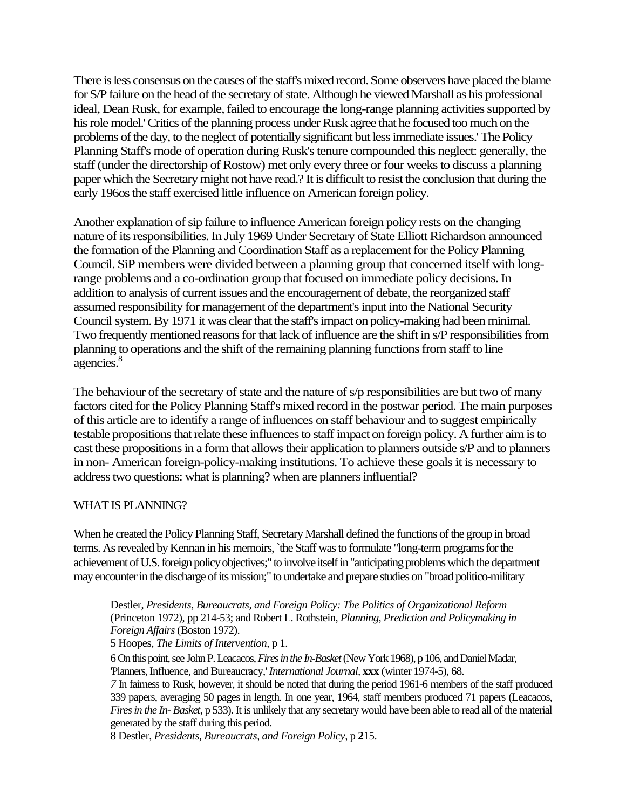There is less consensus on the causes of the staff's mixed record. Some observers have placed the blame for S/P failure on the head of the secretary of state. Although he viewed Marshall as his professional ideal, Dean Rusk, for example, failed to encourage the long-range planning activities supported by his role model.' Critics of the planning process under Rusk agree that he focused too much on the problems of the day, to the neglect of potentially significant but less immediate issues.' The Policy Planning Staff's mode of operation during Rusk's tenure compounded this neglect: generally, the staff (under the directorship of Rostow) met only every three or four weeks to discuss a planning paper which the Secretary might not have read.? It is difficult to resist the conclusion that during the early 196os the staff exercised little influence on American foreign policy.

Another explanation of sip failure to influence American foreign policy rests on the changing nature of its responsibilities. In July 1969 Under Secretary of State Elliott Richardson announced the formation of the Planning and Coordination Staff as a replacement for the Policy Planning Council. SiP members were divided between a planning group that concerned itself with longrange problems and a co-ordination group that focused on immediate policy decisions. In addition to analysis of current issues and the encouragement of debate, the reorganized staff assumed responsibility for management of the department's input into the National Security Council system. By 1971 it was clear that the staff's impact on policy-making had been minimal. Two frequently mentioned reasons for that lack of influence are the shift in s/P responsibilities from planning to operations and the shift of the remaining planning functions from staff to line agencies.<sup>8</sup>

The behaviour of the secretary of state and the nature of s/p responsibilities are but two of many factors cited for the Policy Planning Staff's mixed record in the postwar period. The main purposes of this article are to identify a range of influences on staff behaviour and to suggest empirically testable propositions that relate these influences to staff impact on foreign policy. A further aim is to cast these propositions in a form that allows their application to planners outside s/P and to planners in non- American foreign-policy-making institutions. To achieve these goals it is necessary to address two questions: what is planning? when are planners influential?

### WHAT IS PLANNING?

When he created the Policy Planning Staff, Secretary Marshall defined the functions of the group in broad terms. As revealed by Kennan in his memoirs, `the Staff was to formulate "long-term programs for the achievement of U.S.foreign policy objectives;" to involve itself in "anticipating problems which the department may encounter in the discharge of its mission;" to undertake and prepare studies on "broad politico-military

Destler, *Presidents, Bureaucrats, and Foreign Policy: The Politics of Organizational Reform*  (Princeton 1972), pp 214-53; and Robert L. Rothstein, *Planning, Prediction and Policymaking in Foreign Affairs* (Boston 1972).

5 Hoopes, *The Limits of Intervention,* p 1.

6 On this point, see John P. Leacacos, *Fires in the In-Basket* (New York 1968), p 106, and Daniel Madar, 'Planners, Influence, and Bureaucracy,' *International Journal,* **xxx** (winter 1974-5), 68.

*7* In fairness to Rusk, however, it should be noted that during the period 1961-6 members of the staff produced 339 papers, averaging 50 pages in length. In one year, 1964, staff members produced 71 papers (Leacacos, *Fires in the In- Basket,* p 533). It is unlikely that any secretary would have been able to read all of the material generated by the staff during this period.

8 Destler, *Presidents, Bureaucrats, and Foreign Policy,* p **2**15.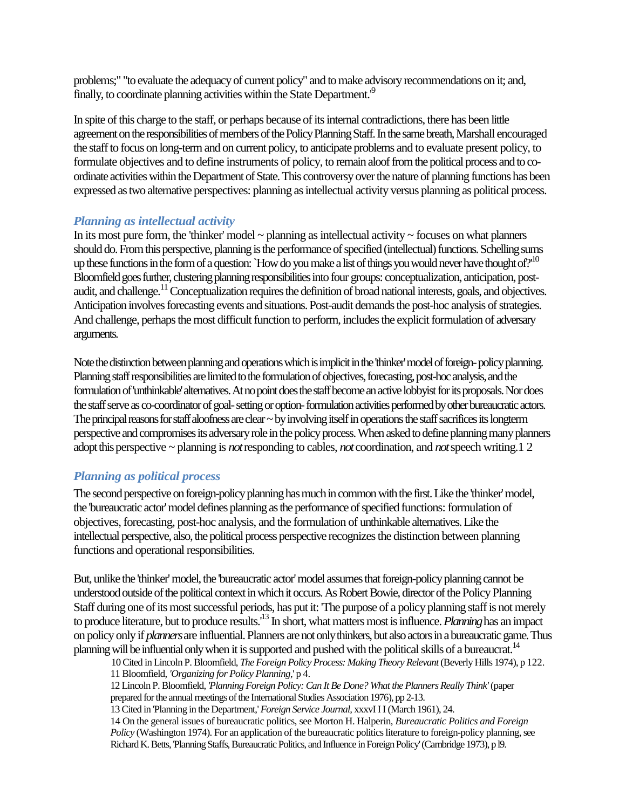problems;" "to evaluate the adequacy of current policy" and to make advisory recommendations on it; and, finally, to coordinate planning activities within the State Department.'<sup>9</sup>

In spite of this charge to the staff, or perhaps because of its internal contradictions, there has been little agreement on the responsibilities of members of the Policy Planning Staff. In the same breath, Marshall encouraged the staff to focus on long-term and on current policy, to anticipate problems and to evaluate present policy, to formulate objectives and to define instruments of policy, to remain aloof from the political process and to coordinate activities within the Department of State. This controversy over the nature of planning functions has been expressed as two alternative perspectives: planning as intellectual activity versus planning as political process.

## *Planning as intellectual activity*

In its most pure form, the 'thinker' model  $\sim$  planning as intellectual activity  $\sim$  focuses on what planners should do. From this perspective, planning is the performance of specified (intellectual) functions. Schelling sums up these functions in the form of a question: `How do you make a list of things you would never have thought of?' $10$ Bloomfield goes further, clustering planning responsibilities into four groups: conceptualization, anticipation, postaudit, and challenge.11Conceptualization requires the definition of broad national interests, goals, and objectives. Anticipation involves forecasting events and situations. Post-audit demands the post-hoc analysis of strategies. And challenge, perhaps the most difficult function to perform, includes the explicit formulation of adversary arguments.

Note the distinction between planning and operations which is implicit in the 'thinker' model of foreign-policy planning. Planning staff responsibilities are limited to the formulation of objectives, forecasting, post-hoc analysis, and the formulation of 'unthinkable' alternatives. At no point does the staff become an active lobbyist for its proposals. Nor does the staff serve as co-coordinator of goal-setting or option-formulation activities performed by other bureaucratic actors. The principal reasons for staff aloofness are clear  $\sim$  by involving itself in operations the staff sacrifices its longterm perspective and compromises itsadversary role in the policy process. When asked to define planning many planners adopt this perspective ~ planning is *not* responding to cables, *not* coordination, and *not* speech writing.1 2

# *Planning as political process*

The second perspective on foreign-policy planning has much in common with the first. Like the 'thinker' model, the 'bureaucratic actor' model defines planning as the performance of specified functions: formulation of objectives, forecasting, post-hoc analysis, and the formulation of unthinkable alternatives. Like the intellectual perspective, also, the political process perspective recognizes the distinction between planning functions and operational responsibilities.

But, unlike the 'thinker' model, the 'bureaucratic actor' model assumes that foreign-policy planning cannot be understood outside of the political context in which it occurs. As Robert Bowie, director of the Policy Planning Staff during one of its most successful periods, has put it: 'The purpose of a policy planning staff is not merely to produce literature, but to produce results.'<sup>13</sup> In short, what matters most is influence. *Planning* has an impact on policy only if *planners* are influential. Planners are not only thinkers, but also actors in abureaucratic game. Thus planning will be influential only when it is supported and pushed with the political skills of a bureaucrat.<sup>14</sup>

 10 Cited in Lincoln P. Bloomfield, *The Foreign Policy Process: Making Theory Relevant*(Beverly Hills 1974), p 122. 11 Bloomfield, *'Organizing for Policy Planning*,' p 4.

12 Lincoln P. Bloomfield, *'Planning Foreign Policy: Can It Be Done? What the Planners Really Think'*(paper prepared for the annual meetings of the International Studies Association 1976), pp 2-13.

13 Cited in 'Planning in the Department,' *Foreign Service Journal,* xxxvI I I (March 1961), 24.

14 On the general issues of bureaucratic politics, see Morton H. Halperin, *Bureaucratic Politics and Foreign Policy* (Washington 1974). For an application of the bureaucratic politics literature to foreign-policy planning, see Richard K. Betts, 'Planning Staffs, Bureaucratic Politics, and Influence in Foreign Policy' (Cambridge 1973), p l9.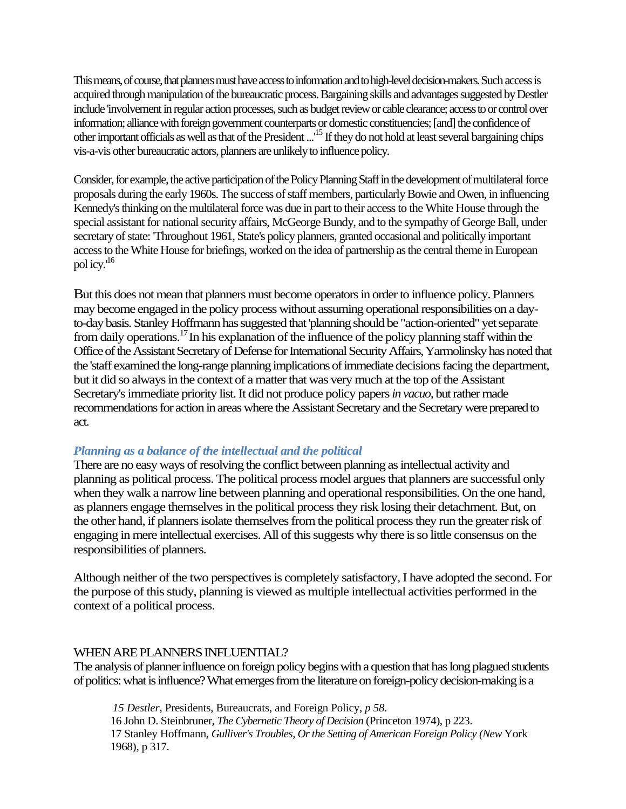This means, of course, that planners must have access to information and to high-level decision-makers. Such access is acquired through manipulation of the bureaucratic process. Bargaining skills and advantages suggested by Destler include 'involvement in regular action processes, such as budget review or cable clearance; access to or control over information; alliance with foreign government counterparts or domestic constituencies; [and] the confidence of other important officials as well as that of the President ...'<sup>15</sup> If they do not hold at least several bargaining chips vis-a-vis other bureaucratic actors, planners are unlikely to influence policy.

Consider, for example, the active participation of the Policy Planning Staff in the development of multilateral force proposals during the early 1960s. The success of staff members, particularly Bowie and Owen, in influencing Kennedy's thinking on the multilateral force was due in part to their access to the White House through the special assistant for national security affairs, McGeorge Bundy, and to the sympathy of George Ball, under secretary of state: 'Throughout 1961, State's policy planners, granted occasional and politically important access to the White House for briefings, worked on the idea of partnership as the central theme in European pol icy.'<sup>16</sup>

But this does not mean that planners must become operators in order to influence policy. Planners may become engaged in the policy process without assuming operational responsibilities on a dayto-day basis. Stanley Hoffmann has suggested that 'planning should be "action-oriented" yet separate from daily operations.<sup>17</sup>In his explanation of the influence of the policy planning staff within the Office of the Assistant Secretary of Defense for International Security Affairs, Yarmolinsky has noted that the 'staff examined the long-range planning implications of immediate decisions facing the department, but it did so always in the context of a matter that was very much at the top of the Assistant Secretary's immediate priority list. It did not produce policy papers *in vacuo,* but rather made recommendations for action in areas where the Assistant Secretary and the Secretary were prepared to act.

### *Planning as a balance of the intellectual and the political*

There are no easy ways of resolving the conflict between planning as intellectual activity and planning as political process. The political process model argues that planners are successful only when they walk a narrow line between planning and operational responsibilities. On the one hand, as planners engage themselves in the political process they risk losing their detachment. But, on the other hand, if planners isolate themselves from the political process they run the greater risk of engaging in mere intellectual exercises. All of this suggests why there is so little consensus on the responsibilities of planners.

Although neither of the two perspectives is completely satisfactory, I have adopted the second. For the purpose of this study, planning is viewed as multiple intellectual activities performed in the context of a political process.

### WHEN ARE PLANNERS INFLUENTIAL?

The analysis of planner influence on foreign policy begins with a question that has long plagued students of politics: what is influence? What emerges from the literature on foreign-policy decision-making is a

 *15 Destler,* Presidents, Bureaucrats, and Foreign Policy, *p 58.* 16 John D. Steinbruner, *The Cybernetic Theory of Decision* (Princeton 1974), p 223. 17 Stanley Hoffmann, *Gulliver's Troubles, Or the Setting of American Foreign Policy (New* York 1968), p 317.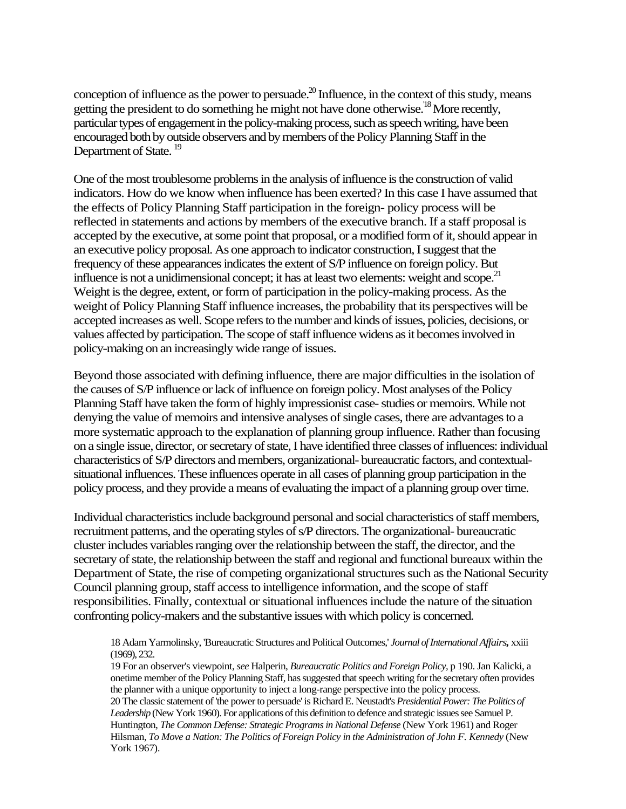conception of influence as the power to persuade.<sup>20</sup> Influence, in the context of this study, means getting the president to do something he might not have done otherwise.<sup>18</sup> More recently, particular types of engagement in the policy-making process, such as speech writing, have been encouraged both by outside observers and by members of the Policy Planning Staff in the Department of State.<sup>19</sup>

One of the most troublesome problems in the analysis of influence is the construction of valid indicators. How do we know when influence has been exerted? In this case I have assumed that the effects of Policy Planning Staff participation in the foreign- policy process will be reflected in statements and actions by members of the executive branch. If a staff proposal is accepted by the executive, at some point that proposal, or a modified form of it, should appear in an executive policy proposal. As one approach to indicator construction, I suggest that the frequency of these appearances indicates the extent of S/P influence on foreign policy. But influence is not a unidimensional concept; it has at least two elements: weight and scope.<sup>21</sup> Weight is the degree, extent, or form of participation in the policy-making process. As the weight of Policy Planning Staff influence increases, the probability that its perspectives will be accepted increases as well. Scope refers to the number and kinds of issues, policies, decisions, or values affected by participation. The scope of staff influence widens as it becomes involved in policy-making on an increasingly wide range of issues.

Beyond those associated with defining influence, there are major difficulties in the isolation of the causes of S/P influence or lack of influence on foreign policy. Most analyses of the Policy Planning Staff have taken the form of highly impressionist case-studies or memoirs. While not denying the value of memoirs and intensive analyses of single cases, there are advantages to a more systematic approach to the explanation of planning group influence. Rather than focusing on a single issue, director, or secretary of state, I have identified three classes of influences: individual characteristics of S/P directors and members, organizational- bureaucratic factors, and contextualsituational influences. These influences operate in all cases of planning group participation in the policy process, and they provide a means of evaluating the impact of a planning group over time.

Individual characteristics include background personal and social characteristics of staff members, recruitment patterns, and the operating styles of s/P directors. The organizational- bureaucratic cluster includes variables ranging over the relationship between the staff, the director, and the secretary of state, the relationship between the staff and regional and functional bureaux within the Department of State, the rise of competing organizational structures such as the National Security Council planning group, staff access to intelligence information, and the scope of staff responsibilities. Finally, contextual or situational influences include the nature of the situation confronting policy-makers and the substantive issues with which policy is concerned.

18 Adam Yarmolinsky, 'Bureaucratic Structures and Political Outcomes,' *Journal of International Affairs,* xxiii (1969), 232.

19 For an observer's viewpoint, *see* Halperin, *Bureaucratic Politics and Foreign Policy,* p 190. Jan Kalicki, a onetime member of the Policy Planning Staff, has suggested that speech writing for the secretary often provides the planner with a unique opportunity to inject a long-range perspective into the policy process. 20 The classic statement of 'the power to persuade' is Richard E. Neustadt's *Presidential Power: The Politics of Leadership* (New York 1960). For applications of this definition to defence and strategic issues see Samuel P. Huntington, *The Common Defense: Strategic Programs in National Defense* (New York 1961) and Roger Hilsman, *To Move a Nation: The Politics of Foreign Policy in the Administration of John F. Kennedy* (New York 1967).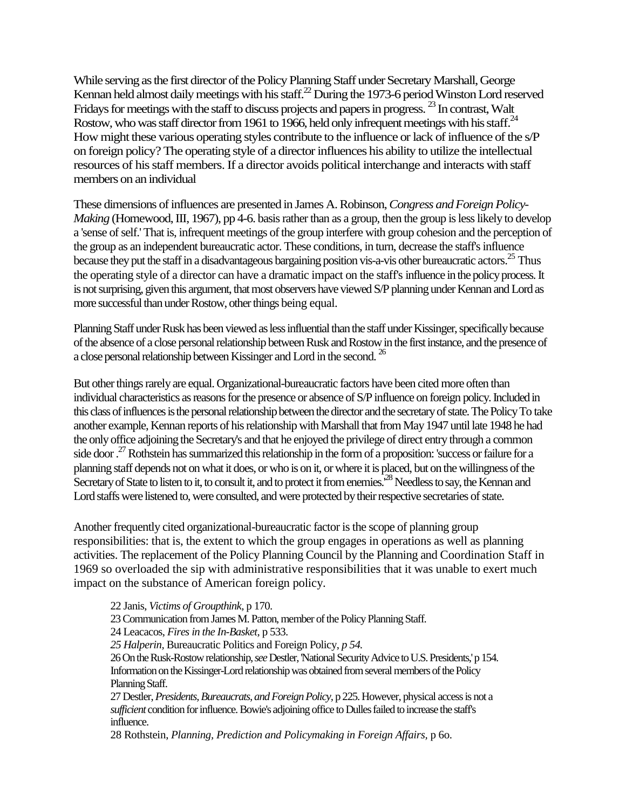While serving as the first director of the Policy Planning Staff under Secretary Marshall, George Kennan held almost daily meetings with his staff.<sup>22</sup> During the 1973-6 period Winston Lord reserved Fridays for meetings with the staff to discuss projects and papers in progress. <sup>23</sup> In contrast, Walt Rostow, who was staff director from 1961 to 1966, held only infrequent meetings with his staff.<sup>24</sup> How might these various operating styles contribute to the influence or lack of influence of the s/P on foreign policy? The operating style of a director influences his ability to utilize the intellectual resources of his staff members. If a director avoids political interchange and interacts with staff members on an individual

These dimensions of influences are presented in James A. Robinson, *Congress and Foreign Policy-Making* (Homewood, III, 1967), pp 4-6. basis rather than as a group, then the group is less likely to develop a 'sense of self.' That is, infrequent meetings of the group interfere with group cohesion and the perception of the group as an independent bureaucratic actor. These conditions, in turn, decrease the staff's influence because they put the staff in a disadvantageous bargaining position vis-a-vis other bureaucratic actors.<sup>25</sup> Thus the operating style of a director can have a dramatic impact on the staff's influence in the policy process. It is not surprising, given this argument, that most observers have viewed S/P planning under Kennan and Lord as more successful than under Rostow, other things being equal.

Planning Staff under Rusk has been viewed as less influential than the staff under Kissinger, specifically because of the absence of a close personal relationship between Rusk and Rostow in the first instance, and the presence of a close personal relationship between Kissinger and Lord in the second.<sup>26</sup>

But other things rarely are equal. Organizational-bureaucratic factors have been cited more often than individual characteristics as reasons for the presence or absence of S/P influence on foreign policy. Included in this class of influences is the personal relationship between the director and the secretary of state. The Policy To take another example, Kennan reports of his relationship with Marshall that from May 1947 until late 1948 he had the only office adjoining the Secretary's and that he enjoyed the privilege of direct entry through a common side door .<sup>27</sup> Rothstein has summarized this relationship in the form of a proposition: 'success or failure for a planning staff depends not on what it does, or who is on it, or where it is placed, but on the willingness of the Secretary of State to listen to it, to consult it, and to protect it from enemies.<sup>28</sup> Needless to say, the Kennan and Lord staffs were listened to, were consulted, and were protected by their respective secretaries of state.

Another frequently cited organizational-bureaucratic factor is the scope of planning group responsibilities: that is, the extent to which the group engages in operations as well as planning activities. The replacement of the Policy Planning Council by the Planning and Coordination Staff in 1969 so overloaded the sip with administrative responsibilities that it was unable to exert much impact on the substance of American foreign policy.

22 Janis, *Victims of Groupthink,* p 170.

23 Communication from James M. Patton, member of the Policy Planning Staff.

24 Leacacos, *Fires in the In-Basket,* p 533.

*25 Halperin,* Bureaucratic Politics and Foreign Policy, *p 54.* 

26 On the Rusk-Rostow relationship, *see* Destler, 'National Security Advice to U.S. Presidents,' p 154. Information on the Kissinger-Lord relationship was obtained from several members of the Policy Planning Staff.

27 Destler, *Presidents, Bureaucrats, and Foreign Policy,* p 225. However, physical access is not a *sufficient* condition for influence. Bowie's adjoining office to Dulles failed to increase the staff's influence.

28 Rothstein, *Planning, Prediction and Policymaking in Foreign Affairs,* p 6o.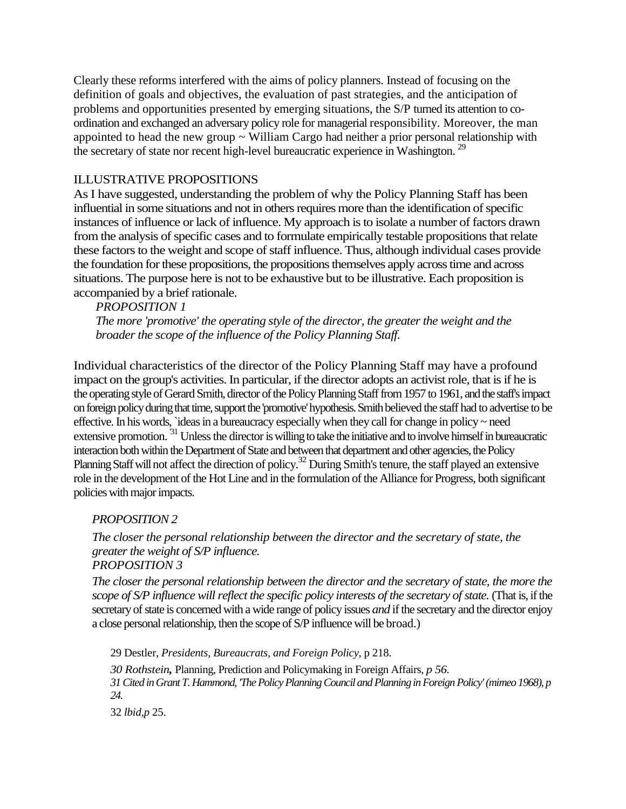Clearly these reforms interfered with the aims of policy planners. Instead of focusing on the definition of goals and objectives, the evaluation of past strategies, and the anticipation of problems and opportunities presented by emerging situations, the S/P turned its attention to coordination and exchanged an adversary policy role for managerial responsibility. Moreover, the man appointed to head the new group  $\sim$  William Cargo had neither a prior personal relationship with the secretary of state nor recent high-level bureaucratic experience in Washington.<sup>29</sup>

# ILLUSTRATIVE PROPOSITIONS

As I have suggested, understanding the problem of why the Policy Planning Staff has been influential in some situations and not in others requires more than the identification of specific instances of influence or lack of influence. My approach is to isolate a number of factors drawn from the analysis of specific cases and to formulate empirically testable propositions that relate these factors to the weight and scope of staff influence. Thus, although individual cases provide the foundation for these propositions, the propositions themselves apply across time and across situations. The purpose here is not to be exhaustive but to be illustrative. Each proposition is accompanied by a brief rationale.

#### *PROPOSITION 1*

*The more 'promotive' the operating style of the director, the greater the weight and the broader the scope of the influence of the Policy Planning Staff.*

Individual characteristics of the director of the Policy Planning Staff may have a profound impact on the group's activities. In particular, if the director adopts an activist role, that is if he is the operating style of Gerard Smith, director of the Policy Planning Staff from 1957 to 1961, and the staff's impact on foreign policy during that time, support the 'promotive' hypothesis. Smith believed the staff had to advertise to be effective. In his words, `ideas in a bureaucracy especially when they call for change in policy ~ need extensive promotion. '31 Unless the director is willing to take the initiative and to involve himself in bureaucratic interaction both within the Department of State and between that department and other agencies, the Policy Planning Staff will not affect the direction of policy.<sup>32</sup> During Smith's tenure, the staff played an extensive role in the development of the Hot Line and in the formulation of the Alliance for Progress, both significant policies with major impacts.

### *PROPOSITION 2*

*The closer the personal relationship between the director and the secretary of state, the greater the weight of S/P influence. PROPOSITION 3*

*The closer the personal relationship between the director and the secretary of state, the more the scope of S/P influence will reflect the specific policy interests of the secretary of state.* (That is, if the secretary of state is concerned with a wide range of policy issues *and* if the secretary and the director enjoy a close personal relationship, then the scope of S/P influence will be broad.)

29 Destler, *Presidents, Bureaucrats, and Foreign Policy,* p 218.

*30 Rothstein,* Planning, Prediction and Policymaking in Foreign Affairs, *p 56. 31 Cited in Grant T. Hammond, 'The Policy Planning Council and Planning in Foreign Policy' (mimeo 1968), p 24.*

32 *lbid,p* 25.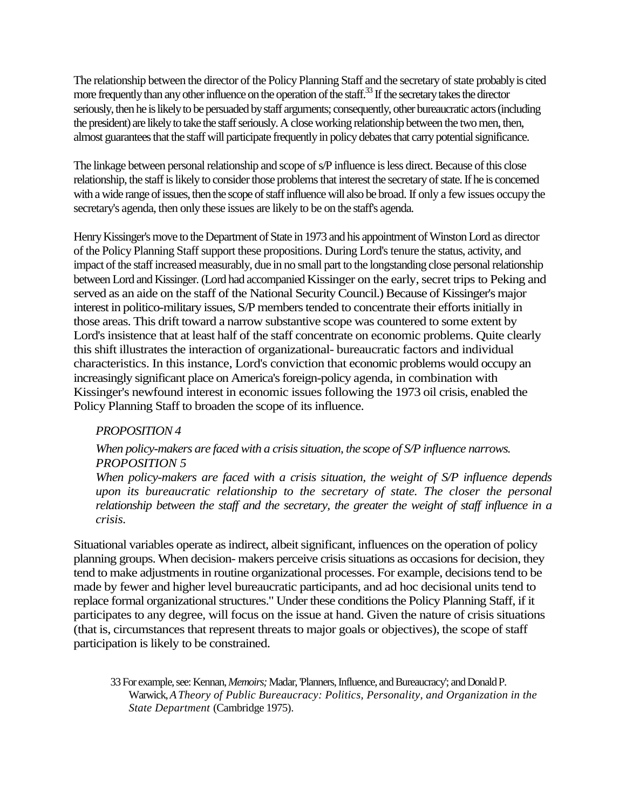The relationship between the director of the Policy Planning Staff and the secretary of state probably is cited more frequently than any other influence on the operation of the staff.<sup>33</sup> If the secretary takes the director seriously, then he is likely to be persuaded by staff arguments; consequently, other bureaucratic actors (including the president) are likely to take the staff seriously. A close working relationship between the two men, then, almost guarantees that the staff will participate frequently in policy debates that carry potential significance.

The linkage between personal relationship and scope of s/P influence is less direct. Because of this close relationship, the staff is likely to consider those problems that interest the secretary of state. If he is concerned with a wide range of issues, then the scope of staff influence will also be broad. If only a few issues occupy the secretary's agenda, then only these issues are likely to be on the staff's agenda.

Henry Kissinger's move to the Department of State in 1973 and his appointment of Winston Lord as director of the Policy Planning Staff support these propositions. During Lord's tenure the status, activity, and impact of the staff increased measurably, due in no small part to the longstanding close personal relationship between Lord and Kissinger. (Lord had accompanied Kissinger on the early, secret trips to Peking and served as an aide on the staff of the National Security Council.) Because of Kissinger's major interest in politico-military issues, S/P members tended to concentrate their efforts initially in those areas. This drift toward a narrow substantive scope was countered to some extent by Lord's insistence that at least half of the staff concentrate on economic problems. Quite clearly this shift illustrates the interaction of organizational- bureaucratic factors and individual characteristics. In this instance, Lord's conviction that economic problems would occupy an increasingly significant place on America's foreign-policy agenda, in combination with Kissinger's newfound interest in economic issues following the 1973 oil crisis, enabled the Policy Planning Staff to broaden the scope of its influence.

### *PROPOSITION 4*

*When policy-makers are faced with a crisis situation, the scope of S/P influence narrows. PROPOSITION 5*

*When policy-makers are faced with a crisis situation, the weight of S/P influence depends upon its bureaucratic relationship to the secretary of state. The closer the personal relationship between the staff and the secretary, the greater the weight of staff influence in a crisis.*

Situational variables operate as indirect, albeit significant, influences on the operation of policy planning groups. When decision- makers perceive crisis situations as occasions for decision, they tend to make adjustments in routine organizational processes. For example, decisions tend to be made by fewer and higher level bureaucratic participants, and ad hoc decisional units tend to replace formal organizational structures." Under these conditions the Policy Planning Staff, if it participates to any degree, will focus on the issue at hand. Given the nature of crisis situations (that is, circumstances that represent threats to major goals or objectives), the scope of staff participation is likely to be constrained.

33 For example, see: Kennan, *Memoirs;* Madar, 'Planners, Influence, and Bureaucracy'; and Donald P. Warwick, *A Theory of Public Bureaucracy: Politics, Personality, and Organization in the State Department* (Cambridge 1975).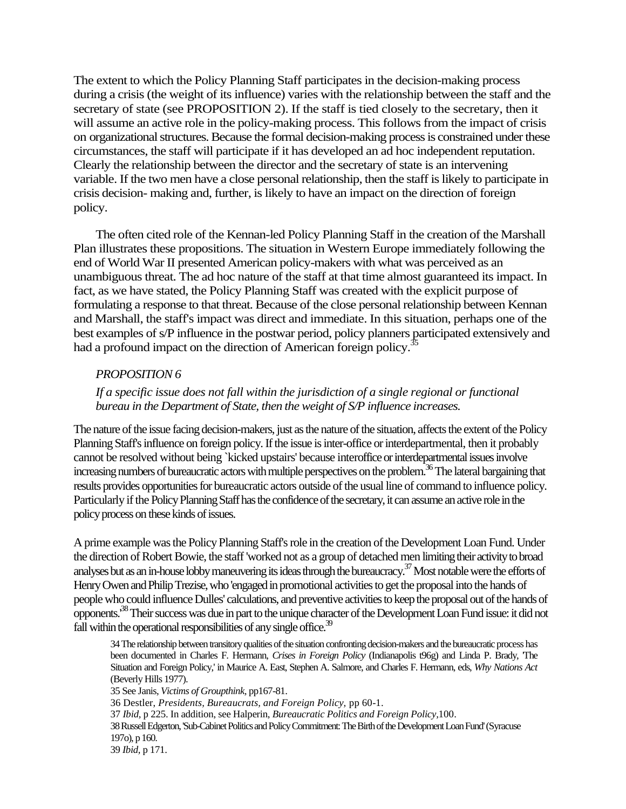The extent to which the Policy Planning Staff participates in the decision-making process during a crisis (the weight of its influence) varies with the relationship between the staff and the secretary of state (see PROPOSITION 2). If the staff is tied closely to the secretary, then it will assume an active role in the policy-making process. This follows from the impact of crisis on organizational structures. Because the formal decision-making process is constrained under these circumstances, the staff will participate if it has developed an ad hoc independent reputation. Clearly the relationship between the director and the secretary of state is an intervening variable. If the two men have a close personal relationship, then the staff is likely to participate in crisis decision- making and, further, is likely to have an impact on the direction of foreign policy.

The often cited role of the Kennan-led Policy Planning Staff in the creation of the Marshall Plan illustrates these propositions. The situation in Western Europe immediately following the end of World War II presented American policy-makers with what was perceived as an unambiguous threat. The ad hoc nature of the staff at that time almost guaranteed its impact. In fact, as we have stated, the Policy Planning Staff was created with the explicit purpose of formulating a response to that threat. Because of the close personal relationship between Kennan and Marshall, the staff's impact was direct and immediate. In this situation, perhaps one of the best examples of s/P influence in the postwar period, policy planners participated extensively and had a profound impact on the direction of American foreign policy.<sup>35</sup>

#### *PROPOSITION 6*

*If a specific issue does not fall within the jurisdiction of a single regional or functional bureau in the Department of State, then the weight of S/P influence increases.*

The nature of the issue facing decision-makers, just as the nature of the situation, affects the extent of the Policy Planning Staff's influence on foreign policy. If the issue is inter-office or interdepartmental, then it probably cannot be resolved without being `kicked upstairs' because interoffice or interdepartmental issues involve increasing numbers of bureaucratic actors with multiple perspectives on the problem.<sup>36</sup> The lateral bargaining that results provides opportunities for bureaucratic actors outside of the usual line of command to influence policy. Particularly if the Policy Planning Staff has the confidence of the secretary, it can assume an active role in the policy process on these kinds of issues.

A prime example was the Policy Planning Staff's role in the creation of the Development Loan Fund. Under the direction of Robert Bowie, the staff 'worked not as a group of detached men limiting their activity to broad analyses but as an in-house lobby maneuvering its ideas through the bureaucracy.<sup>37</sup> Most notable were the efforts of Henry Owen and Philip Trezise, who 'engaged in promotional activities to get the proposal into the hands of people who could influence Dulles' calculations, and preventive activities to keep the proposal out of the hands of opponents.'<sup>38</sup>Their success was due in part to the unique character of the Development Loan Fund issue: it did not fall within the operational responsibilities of any single office. $39$ 

34 The relationship between transitory qualities of the situation confronting decision-makers and the bureaucratic process has been documented in Charles F. Hermann, *Crises in Foreign Policy* (Indianapolis t96g) and Linda P. Brady, 'The Situation and Foreign Policy,' in Maurice A. East, Stephen A. Salmore, and Charles F. Hermann, eds, *Why Nations Act*  (Beverly Hills 1977).

35 See Janis, *Victims of Groupthink,* pp167-81. 36 Destler, *Presidents, Bureaucrats, and Foreign Policy,* pp 60-1. 37 *Ibid,* p 225. In addition, see Halperin, *Bureaucratic Politics and Foreign Policy,*100. 38 Russell Edgerton, 'Sub-Cabinet Politics and Policy Commitment: The Birth of the Development Loan Fund' (Syracuse 197o), p 160. 39 *Ibid,* p 171.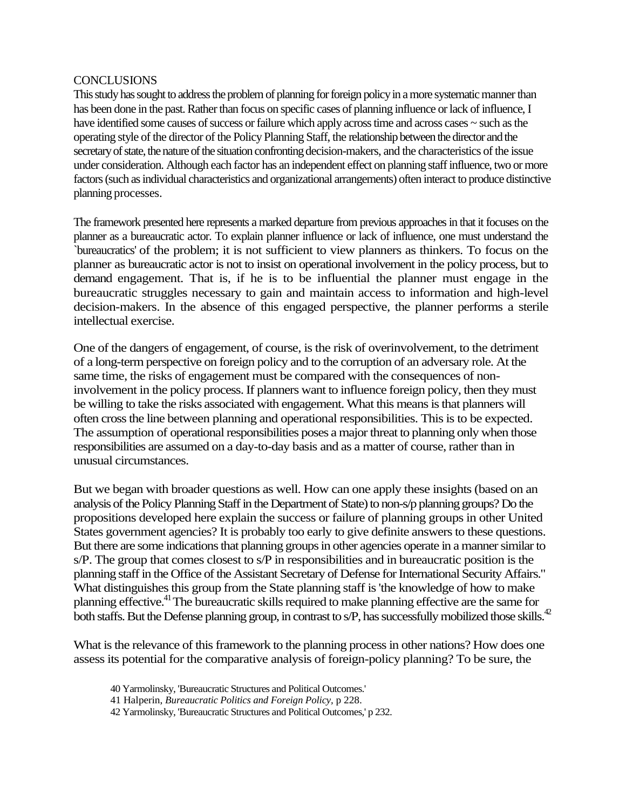#### **CONCLUSIONS**

This study has sought to address the problem of planning for foreign policy in a more systematic manner than has been done in the past. Rather than focus on specific cases of planning influence or lack of influence, I have identified some causes of success or failure which apply across time and across cases ~ such as the operating style of the director of the Policy Planning Staff, the relationship between the director and the secretary of state, the nature of the situation confronting decision-makers, and the characteristics of the issue under consideration. Although each factor has an independent effect on planning staff influence, two or more factors (such as individual characteristics and organizational arrangements) often interact to produce distinctive planning processes.

The framework presented here represents a marked departure from previous approaches in that it focuses on the planner as a bureaucratic actor. To explain planner influence or lack of influence, one must understand the `bureaucratics' of the problem; it is not sufficient to view planners as thinkers. To focus on the planner as bureaucratic actor is not to insist on operational involvement in the policy process, but to demand engagement. That is, if he is to be influential the planner must engage in the bureaucratic struggles necessary to gain and maintain access to information and high-level decision-makers. In the absence of this engaged perspective, the planner performs a sterile intellectual exercise.

One of the dangers of engagement, of course, is the risk of overinvolvement, to the detriment of a long-term perspective on foreign policy and to the corruption of an adversary role. At the same time, the risks of engagement must be compared with the consequences of noninvolvement in the policy process. If planners want to influence foreign policy, then they must be willing to take the risks associated with engagement. What this means is that planners will often cross the line between planning and operational responsibilities. This is to be expected. The assumption of operational responsibilities poses a major threat to planning only when those responsibilities are assumed on a day-to-day basis and as a matter of course, rather than in unusual circumstances.

But we began with broader questions as well. How can one apply these insights (based on an analysis of the Policy Planning Staff in the Department of State) to non-s/p planning groups? Do the propositions developed here explain the success or failure of planning groups in other United States government agencies? It is probably too early to give definite answers to these questions. But there are some indications that planning groups in other agencies operate in a manner similar to s/P. The group that comes closest to s/P in responsibilities and in bureaucratic position is the planning staff in the Office of the Assistant Secretary of Defense for International Security Affairs." What distinguishes this group from the State planning staff is 'the knowledge of how to make planning effective.<sup>41</sup>The bureaucratic skills required to make planning effective are the same for both staffs. But the Defense planning group, in contrast to s/P, has successfully mobilized those skills.<sup>42</sup>

What is the relevance of this framework to the planning process in other nations? How does one assess its potential for the comparative analysis of foreign-policy planning? To be sure, the

<sup>40</sup> Yarmolinsky, 'Bureaucratic Structures and Political Outcomes.'

<sup>41</sup> Halperin, *Bureaucratic Politics and Foreign Policy,* p 228.

<sup>42</sup> Yarmolinsky, 'Bureaucratic Structures and Political Outcomes,' p 232.